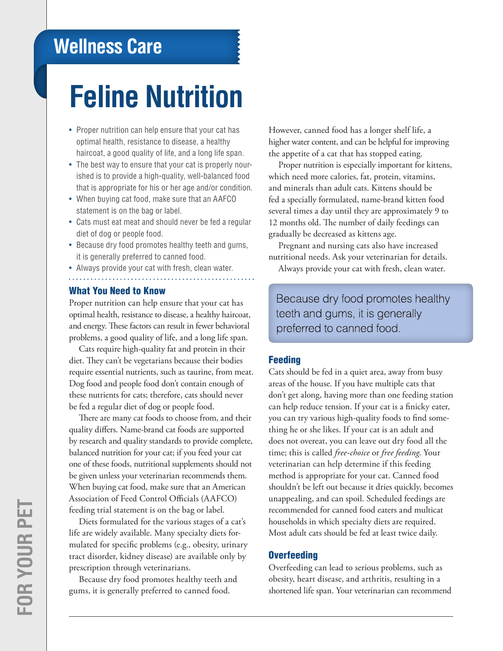# **Wellness Care**

# **Feline Nutrition**

- Proper nutrition can help ensure that your cat has optimal health, resistance to disease, a healthy haircoat, a good quality of life, and a long life span.
- The best way to ensure that your cat is properly nourished is to provide a high-quality, well-balanced food that is appropriate for his or her age and/or condition.
- When buying cat food, make sure that an AAFCO statement is on the bag or label.
- Cats must eat meat and should never be fed a regular diet of dog or people food.
- Because dry food promotes healthy teeth and gums, it is generally preferred to canned food.
- Always provide your cat with fresh, clean water.

### What You Need to Know

Proper nutrition can help ensure that your cat has optimal health, resistance to disease, a healthy haircoat, and energy. These factors can result in fewer behavioral problems, a good quality of life, and a long life span.

Cats require high-quality fat and protein in their diet. They can't be vegetarians because their bodies require essential nutrients, such as taurine, from meat. Dog food and people food don't contain enough of these nutrients for cats; therefore, cats should never be fed a regular diet of dog or people food.

There are many cat foods to choose from, and their quality differs. Name-brand cat foods are supported by research and quality standards to provide complete, balanced nutrition for your cat; if you feed your cat one of these foods, nutritional supplements should not be given unless your veterinarian recommends them. When buying cat food, make sure that an American Association of Feed Control Officials (AAFCO) feeding trial statement is on the bag or label.

Diets formulated for the various stages of a cat's life are widely available. Many specialty diets formulated for specific problems (e.g., obesity, urinary tract disorder, kidney disease) are available only by prescription through veterinarians.

Because dry food promotes healthy teeth and gums, it is generally preferred to canned food.

However, canned food has a longer shelf life, a higher water content, and can be helpful for improving the appetite of a cat that has stopped eating.

Proper nutrition is especially important for kittens, which need more calories, fat, protein, vitamins, and minerals than adult cats. Kittens should be fed a specially formulated, name-brand kitten food several times a day until they are approximately 9 to 12 months old. The number of daily feedings can gradually be decreased as kittens age.

Pregnant and nursing cats also have increased nutritional needs. Ask your veterinarian for details.

Always provide your cat with fresh, clean water.

Because dry food promotes healthy teeth and gums, it is generally preferred to canned food.

#### Feeding

Cats should be fed in a quiet area, away from busy areas of the house. If you have multiple cats that don't get along, having more than one feeding station can help reduce tension. If your cat is a finicky eater, you can try various high-quality foods to find something he or she likes. If your cat is an adult and does not overeat, you can leave out dry food all the time; this is called *free-choice* or *free feeding*. Your veterinarian can help determine if this feeding method is appropriate for your cat. Canned food shouldn't be left out because it dries quickly, becomes unappealing, and can spoil. Scheduled feedings are recommended for canned food eaters and multicat households in which specialty diets are required. Most adult cats should be fed at least twice daily.

#### **Overfeeding**

Overfeeding can lead to serious problems, such as obesity, heart disease, and arthritis, resulting in a shortened life span. Your veterinarian can recommend